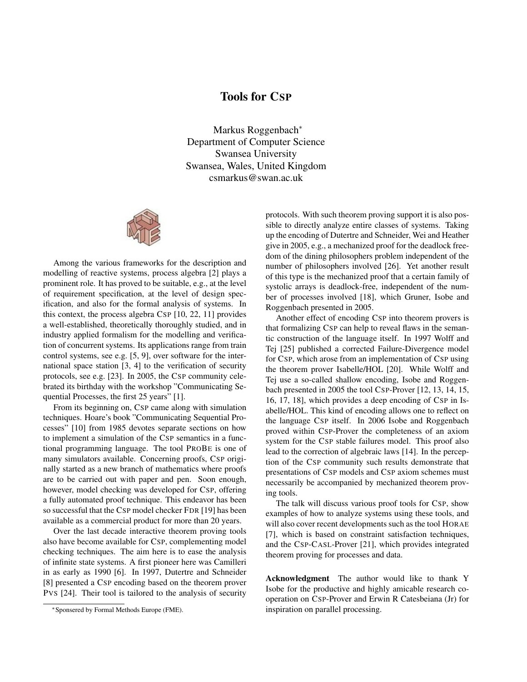## Tools for CSP

Markus Roggenbach<sup>∗</sup> Department of Computer Science Swansea University Swansea, Wales, United Kingdom csmarkus@swan.ac.uk



Among the various frameworks for the description and modelling of reactive systems, process algebra [2] plays a prominent role. It has proved to be suitable, e.g., at the level of requirement specification, at the level of design specification, and also for the formal analysis of systems. In this context, the process algebra CSP [10, 22, 11] provides a well-established, theoretically thoroughly studied, and in industry applied formalism for the modelling and verification of concurrent systems. Its applications range from train control systems, see e.g. [5, 9], over software for the international space station [3, 4] to the verification of security protocols, see e.g. [23]. In 2005, the CSP community celebrated its birthday with the workshop "Communicating Sequential Processes, the first 25 years" [1].

From its beginning on, CSP came along with simulation techniques. Hoare's book "Communicating Sequential Processes" [10] from 1985 devotes separate sections on how to implement a simulation of the CSP semantics in a functional programming language. The tool PROBE is one of many simulators available. Concerning proofs, CSP originally started as a new branch of mathematics where proofs are to be carried out with paper and pen. Soon enough, however, model checking was developed for CSP, offering a fully automated proof technique. This endeavor has been so successful that the CSP model checker FDR [19] has been available as a commercial product for more than 20 years.

Over the last decade interactive theorem proving tools also have become available for CSP, complementing model checking techniques. The aim here is to ease the analysis of infinite state systems. A first pioneer here was Camilleri in as early as 1990 [6]. In 1997, Dutertre and Schneider [8] presented a CSP encoding based on the theorem prover PVS [24]. Their tool is tailored to the analysis of security protocols. With such theorem proving support it is also possible to directly analyze entire classes of systems. Taking up the encoding of Dutertre and Schneider, Wei and Heather give in 2005, e.g., a mechanized proof for the deadlock freedom of the dining philosophers problem independent of the number of philosophers involved [26]. Yet another result of this type is the mechanized proof that a certain family of systolic arrays is deadlock-free, independent of the number of processes involved [18], which Gruner, Isobe and Roggenbach presented in 2005.

Another effect of encoding CSP into theorem provers is that formalizing CSP can help to reveal flaws in the semantic construction of the language itself. In 1997 Wolff and Tej [25] published a corrected Failure-Divergence model for CSP, which arose from an implementation of CSP using the theorem prover Isabelle/HOL [20]. While Wolff and Tej use a so-called shallow encoding, Isobe and Roggenbach presented in 2005 the tool CSP-Prover [12, 13, 14, 15, 16, 17, 18], which provides a deep encoding of CSP in Isabelle/HOL. This kind of encoding allows one to reflect on the language CSP itself. In 2006 Isobe and Roggenbach proved within CSP-Prover the completeness of an axiom system for the CSP stable failures model. This proof also lead to the correction of algebraic laws [14]. In the perception of the CSP community such results demonstrate that presentations of CSP models and CSP axiom schemes must necessarily be accompanied by mechanized theorem proving tools.

The talk will discuss various proof tools for CSP, show examples of how to analyze systems using these tools, and will also cover recent developments such as the tool HORAE [7], which is based on constraint satisfaction techniques, and the CSP-CASL-Prover [21], which provides integrated theorem proving for processes and data.

Acknowledgment The author would like to thank Y Isobe for the productive and highly amicable research cooperation on CSP-Prover and Erwin R Catesbeiana (Jr) for inspiration on parallel processing.

<sup>∗</sup>Sponsered by Formal Methods Europe (FME).